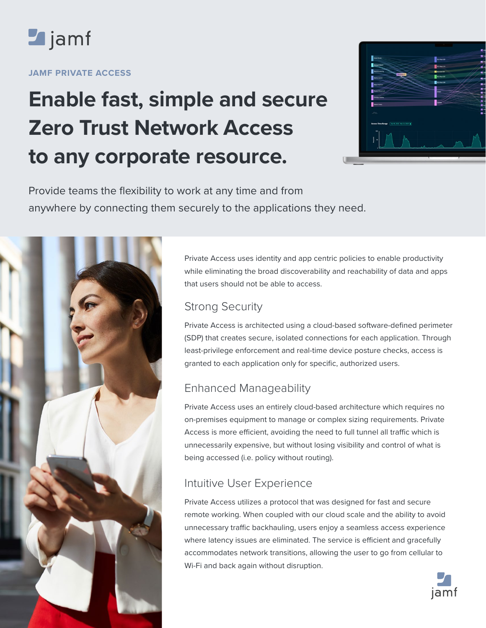

#### **JAMF PRIVATE ACCESS**

# **Enable fast, simple and secure Zero Trust Network Access to any corporate resource.**



Provide teams the flexibility to work at any time and from anywhere by connecting them securely to the applications they need.



Private Access uses identity and app centric policies to enable productivity while eliminating the broad discoverability and reachability of data and apps that users should not be able to access.

## Strong Security

Private Access is architected using a cloud-based software-defined perimeter (SDP) that creates secure, isolated connections for each application. Through least-privilege enforcement and real-time device posture checks, access is granted to each application only for specific, authorized users.

# Enhanced Manageability

Private Access uses an entirely cloud-based architecture which requires no on-premises equipment to manage or complex sizing requirements. Private Access is more efficient, avoiding the need to full tunnel all traffic which is unnecessarily expensive, but without losing visibility and control of what is being accessed (i.e. policy without routing).

## Intuitive User Experience

Private Access utilizes a protocol that was designed for fast and secure remote working. When coupled with our cloud scale and the ability to avoid unnecessary traffic backhauling, users enjoy a seamless access experience where latency issues are eliminated. The service is efficient and gracefully accommodates network transitions, allowing the user to go from cellular to Wi-Fi and back again without disruption.

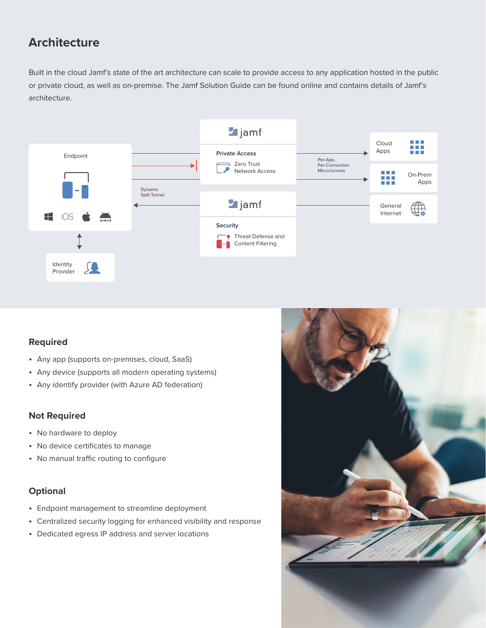## **Architecture**

Built in the cloud Jamf's state of the art architecture can scale to provide access to any application hosted in the public or private cloud, as well as on-premise. The Jamf Solution Guide can be found online and contains details of Jamf's architecture.



#### **Required**

- Any app (supports on-premises, cloud, SaaS)
- Any device (supports all modern operating systems)
- Any identify provider (with Azure AD federation)

#### **Not Required**

- No hardware to deploy
- No device certificates to manage
- No manual traffic routing to configure

#### **Optional**

- Endpoint management to streamline deployment
- Centralized security logging for enhanced visibility and response
- Dedicated egress IP address and server locations